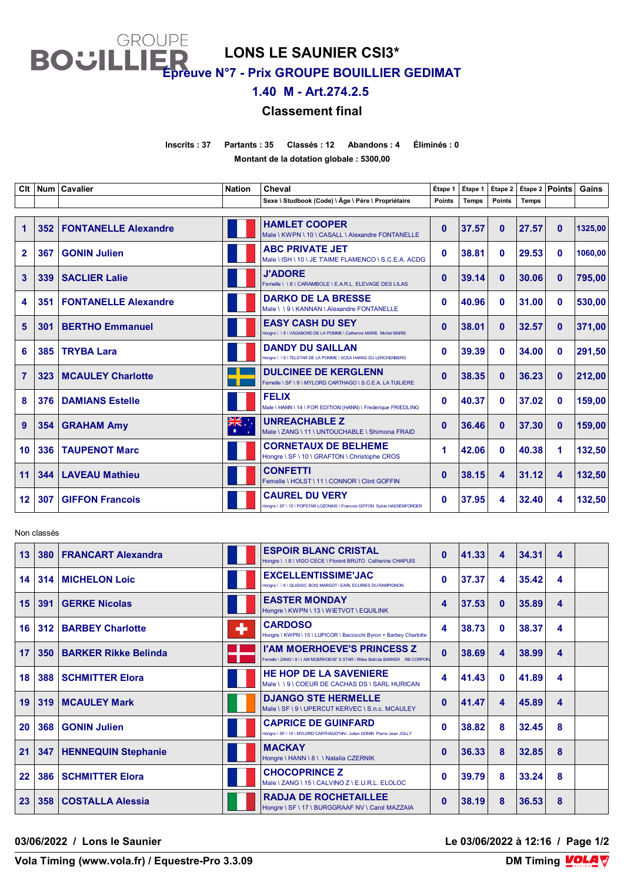**LONS LE SAUNIER CSI3\***

**GROUPE** 

**BOUILI** 

**Épreuve N°7 - Prix GROUPE BOUILLIER GEDIMAT**

**1.40 M - Art.274.2.5** 

## **Classement final**

**Inscrits : 37 Partants : 35 Classés : 12 Abandons : 4 Éliminés : 0 Montant de la dotation globale : 5300,00**

**Clt Num Cavalier Nation Cheval Étape 1 Étape 1 Étape 2 Étape 2 Points Gains Sexe \ Studbook (Code) \ Âge \ Père \ Propriétaire Points Temps Points Temps 352 FONTANELLE Alexandre FRA HAMLET COOPER** Male \ KWPN \ 10 \ CASALL \ Alexandre FONTANELLE **37.57 0 27.57 0 1325,00 367 GONIN Julien FRACE JET FRACE JET ABC PRIVATE JET EXAMENCO** \ S.C.E.A. ACDG **38.81 0 29.53 0 1060,00 339 SACLIER Lalie FRA J'ADORE** Femelle \ \ 8 \ CARAMBOLE \ E.A.R.L. ELEVAGE DES LILAS **<sup>0</sup> 39.14 <sup>0</sup> 30.06 <sup>0</sup> 795,00 351 FONTANELLE Alexandre FRA DARKO DE LA BRESSE** Male \ \ 9 \ KANNAN \ Alexandre FONTANELLE **40.96 0 31.00 0 530,00 301 BERTHO Emmanuel FRABY CASH DU SEY 0 38.01 0 32.57 0 371,00**   $\begin{bmatrix} 385 \end{bmatrix}$  **TRYBA Lara FRANDICIPAL DU SAILLAN FRANCISCA HARAS DU LERCHENBERG 0 0 34.00 0 291,50 323 MCAULEY Charlotte SPE SEE SEE SEE SEERGLENN 0 38.35 0 36.23 0 212,00 1212,00 376 DAMIANS Estelle FRA FELIX** Male \ HANN \ 14 \ FOR EDITION (HANN) \ Frederique FRIEDLING **40.37 0 37.02 0 159,00 354 GRAHAM Amy AUS AUGHARIE Z** Male \ ZANG \ 11 \ UNTOUCHABLE \ Shimona FRAID **36.46 0 37.30 0 159,00 336 TAUPENOT Marc FRACE IN CORNETAUX DE BELHEME 42.06 0 40.38 1 132,50 344 LAVEAU Mathieu FRA CONFETTI** Femelle \ HOLST \ 11 \ CONNOR \ Clint GOFFIN **38.15 4 31.12 4 132,50 307 GIFFON Francois FRANCOIS FRACAUREL DU VERY 00 0 0 0 0 0 137.95 4 32.40 4 132,50** 

Non classés

| 13 | 380              | <b>FRANCART Alexandra</b>   |   | <b>ESPOIR BLANC CRISTAL</b><br>Hongre \ \ 8 \ VIGO CECE \ Florent BRUTO Catherine CHAPUIS                       | $\mathbf{0}$ | 41.33 | 4            | 34.31 | 4 |  |
|----|------------------|-----------------------------|---|-----------------------------------------------------------------------------------------------------------------|--------------|-------|--------------|-------|---|--|
| 14 | 314              | <b>MICHELON Loic</b>        |   | <b>EXCELLENTISSIME'JAC</b><br>Hongre \\8\QLASSIC BOIS MARGOT\EARL ECURIES DU RAMPIGNON                          | 0            | 37.37 | 4            | 35.42 | 4 |  |
| 15 | 391              | <b>GERKE Nicolas</b>        |   | <b>EASTER MONDAY</b><br>Hongre \ KWPN \ 13 \ WIETVOT \ EQUILINK                                                 | 4            | 37.53 | $\mathbf{0}$ | 35.89 | 4 |  |
| 16 | 312              | <b>BARBEY Charlotte</b>     | ٠ | <b>CARDOSO</b><br>Hongre \ KWPN \ 15 \ LUPICOR \ Baciocchi Byron + Barbey Charlotte                             | 4            | 38.73 | $\mathbf{0}$ | 38.37 | 4 |  |
| 17 | 350 <sub>1</sub> | <b>BARKER Rikke Belinda</b> |   | <b>I'AM MOERHOEVE'S PRINCESS Z</b><br>Femelle \ ZANG\ 9\I AM MOFRHOFVE' S STAR \ Rikke Belinda BARKER RB CORPOR | $\mathbf{0}$ | 38.69 | 4            | 38.99 | 4 |  |
| 18 | 388              | <b>SCHMITTER Elora</b>      |   | <b>HE HOP DE LA SAVENIERE</b><br>Male \\9\COEUR DE CACHAS DS\SARL HURICAN                                       | 4            | 41.43 | $\mathbf{0}$ | 41.89 | 4 |  |
| 19 | 319              | <b>MCAULEY Mark</b>         |   | <b>DJANGO STE HERMELLE</b><br>Male \ SF \ 9 \ UPERCUT KERVEC \ S.n.c. MCAULEY                                   | $\bf{0}$     | 41.47 | 4            | 45.89 | 4 |  |
| 20 | 368              | <b>GONIN Julien</b>         |   | <b>CAPRICE DE GUINFARD</b><br>Hongre \ SF \ 10 \ MYLORD CARTHAGO*HN \ Julien GONIN Pierre Jean JOLLY            | 0            | 38.82 | 8            | 32.45 | 8 |  |
| 21 | 347              | <b>HENNEQUIN Stephanie</b>  |   | <b>MACKAY</b><br>Hongre \ HANN \ 8 \ \ Natalia CZERNIK                                                          | O            | 36.33 | 8            | 32.85 | 8 |  |
| 22 | 386              | <b>SCHMITTER Elora</b>      |   | <b>CHOCOPRINCE Z</b><br>Male \ ZANG \ 15 \ CALVINO Z \ E.U.R.L. ELOLOC                                          | 0            | 39.79 | 8            | 33.24 | 8 |  |
| 23 | 358              | <b>COSTALLA Alessia</b>     |   | <b>RADJA DE ROCHETAILLEE</b><br>Hongre \ SF \ 17 \ BURGGRAAF NV \ Carol MAZZAIA                                 | O            | 38.19 | 8            | 36.53 | 8 |  |

**03/06/2022 / Lons le Saunier Le 03/06/2022 à 12:16 / Page 1/2**

**Vola Timing (www.vola.fr) / Equestre-Pro 3.3.09**